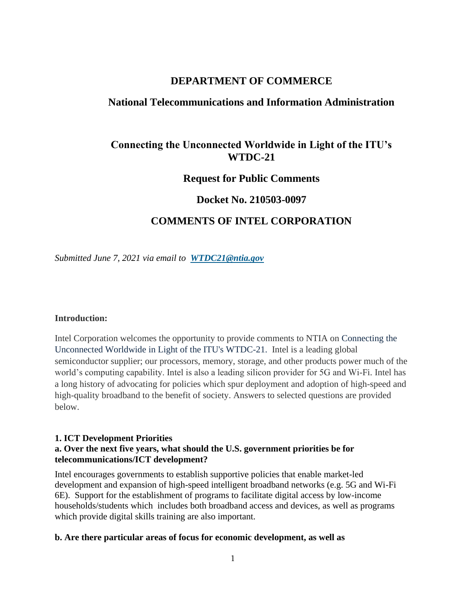# **DEPARTMENT OF COMMERCE**

# **National Telecommunications and Information Administration**

# **Connecting the Unconnected Worldwide in Light of the ITU's WTDC-21**

# **Request for Public Comments**

# **Docket No. 210503-0097**

# **COMMENTS OF INTEL CORPORATION**

*Submitted June 7, 2021 via email to [WTDC21@ntia.gov](mailto:WTDC21@ntia.gov)*

#### **Introduction:**

Intel Corporation welcomes the opportunity to provide comments to NTIA on Connecting the Unconnected Worldwide in Light of the ITU's WTDC-21. Intel is a leading global semiconductor supplier; our processors, memory, storage, and other products power much of the world's computing capability. Intel is also a leading silicon provider for 5G and Wi-Fi. Intel has a long history of advocating for policies which spur deployment and adoption of high-speed and high-quality broadband to the benefit of society. Answers to selected questions are provided below.

#### **1. ICT Development Priorities a. Over the next five years, what should the U.S. government priorities be for telecommunications/ICT development?**

Intel encourages governments to establish supportive policies that enable market-led development and expansion of high-speed intelligent broadband networks (e.g. 5G and Wi-Fi 6E). Support for the establishment of programs to facilitate digital access by low-income households/students which includes both broadband access and devices, as well as programs which provide digital skills training are also important.

#### **b. Are there particular areas of focus for economic development, as well as**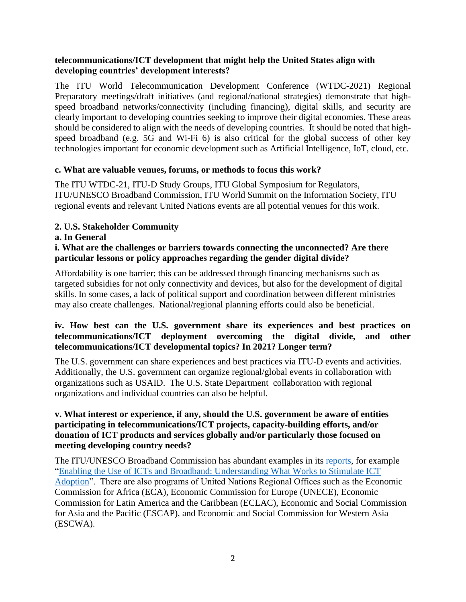## **telecommunications/ICT development that might help the United States align with developing countries' development interests?**

The ITU World Telecommunication Development Conference (WTDC-2021) Regional Preparatory meetings/draft initiatives (and regional/national strategies) demonstrate that highspeed broadband networks/connectivity (including financing), digital skills, and security are clearly important to developing countries seeking to improve their digital economies. These areas should be considered to align with the needs of developing countries. It should be noted that highspeed broadband (e.g. 5G and Wi-Fi 6) is also critical for the global success of other key technologies important for economic development such as Artificial Intelligence, IoT, cloud, etc.

# **c. What are valuable venues, forums, or methods to focus this work?**

The ITU WTDC-21, ITU-D Study Groups, ITU Global Symposium for Regulators, ITU/UNESCO Broadband Commission, ITU World Summit on the Information Society, ITU regional events and relevant United Nations events are all potential venues for this work.

# **2. U.S. Stakeholder Community**

#### **a. In General**

### **i. What are the challenges or barriers towards connecting the unconnected? Are there particular lessons or policy approaches regarding the gender digital divide?**

Affordability is one barrier; this can be addressed through financing mechanisms such as targeted subsidies for not only connectivity and devices, but also for the development of digital skills. In some cases, a lack of political support and coordination between different ministries may also create challenges. National/regional planning efforts could also be beneficial.

## **iv. How best can the U.S. government share its experiences and best practices on telecommunications/ICT deployment overcoming the digital divide, and other telecommunications/ICT developmental topics? In 2021? Longer term?**

The U.S. government can share experiences and best practices via ITU-D events and activities. Additionally, the U.S. government can organize regional/global events in collaboration with organizations such as USAID. The U.S. State Department collaboration with regional organizations and individual countries can also be helpful.

## **v. What interest or experience, if any, should the U.S. government be aware of entities participating in telecommunications/ICT projects, capacity-building efforts, and/or donation of ICT products and services globally and/or particularly those focused on meeting developing country needs?**

The ITU/UNESCO Broadband Commission has abundant examples in its [reports,](https://www.broadbandcommission.org/publications/) for example ["Enabling the Use of ICTs and Broadband: Understanding What Works to Stimulate ICT](https://www.broadbandcommission.org/publication/enabling-the-use-of-icts-and-broadband/)  [Adoption"](https://www.broadbandcommission.org/publication/enabling-the-use-of-icts-and-broadband/). There are also programs of United Nations Regional Offices such as the Economic Commission for Africa (ECA), Economic Commission for Europe (UNECE), Economic Commission for Latin America and the Caribbean (ECLAC), Economic and Social Commission for Asia and the Pacific (ESCAP), and Economic and Social Commission for Western Asia (ESCWA).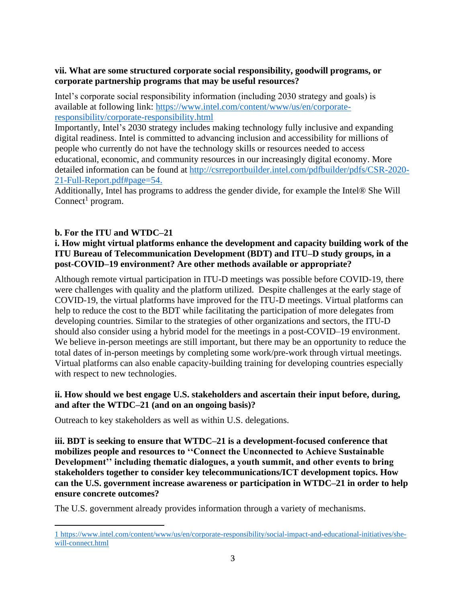## **vii. What are some structured corporate social responsibility, goodwill programs, or corporate partnership programs that may be useful resources?**

Intel's corporate social responsibility information (including 2030 strategy and goals) is available at following link: [https://www.intel.com/content/www/us/en/corporate](https://www.intel.com/content/www/us/en/corporate-responsibility/corporate-responsibility.html)[responsibility/corporate-responsibility.html](https://www.intel.com/content/www/us/en/corporate-responsibility/corporate-responsibility.html)

Importantly, Intel's 2030 strategy includes making technology fully inclusive and expanding digital readiness. Intel is committed to advancing inclusion and accessibility for millions of people who currently do not have the technology skills or resources needed to access educational, economic, and community resources in our increasingly digital economy. More detailed information can be found at [http://csrreportbuilder.intel.com/pdfbuilder/pdfs/CSR-2020-](http://csrreportbuilder.intel.com/pdfbuilder/pdfs/CSR-2020-21-Full-Report.pdf#page=54) [21-Full-Report.pdf#page=54.](http://csrreportbuilder.intel.com/pdfbuilder/pdfs/CSR-2020-21-Full-Report.pdf#page=54)

Additionally, Intel has programs to address the gender divide, for example the Intel® She Will Connect<sup>1</sup> program.

# **b. For the ITU and WTDC–21**

# **i. How might virtual platforms enhance the development and capacity building work of the ITU Bureau of Telecommunication Development (BDT) and ITU–D study groups, in a post-COVID–19 environment? Are other methods available or appropriate?**

Although remote virtual participation in ITU-D meetings was possible before COVID-19, there were challenges with quality and the platform utilized. Despite challenges at the early stage of COVID-19, the virtual platforms have improved for the ITU-D meetings. Virtual platforms can help to reduce the cost to the BDT while facilitating the participation of more delegates from developing countries. Similar to the strategies of other organizations and sectors, the ITU-D should also consider using a hybrid model for the meetings in a post-COVID–19 environment. We believe in-person meetings are still important, but there may be an opportunity to reduce the total dates of in-person meetings by completing some work/pre-work through virtual meetings. Virtual platforms can also enable capacity-building training for developing countries especially with respect to new technologies.

## **ii. How should we best engage U.S. stakeholders and ascertain their input before, during, and after the WTDC–21 (and on an ongoing basis)?**

Outreach to key stakeholders as well as within U.S. delegations.

**iii. BDT is seeking to ensure that WTDC–21 is a development-focused conference that mobilizes people and resources to ''Connect the Unconnected to Achieve Sustainable Development'' including thematic dialogues, a youth summit, and other events to bring stakeholders together to consider key telecommunications/ICT development topics. How can the U.S. government increase awareness or participation in WTDC–21 in order to help ensure concrete outcomes?**

The U.S. government already provides information through a variety of mechanisms.

<sup>1</sup> [https://www.intel.com/content/www/us/en/corporate-responsibility/social-impact-and-educational-initiatives/she](https://www.intel.com/content/www/us/en/corporate-responsibility/social-impact-and-educational-initiatives/she-will-connect.html)[will-connect.html](https://www.intel.com/content/www/us/en/corporate-responsibility/social-impact-and-educational-initiatives/she-will-connect.html)